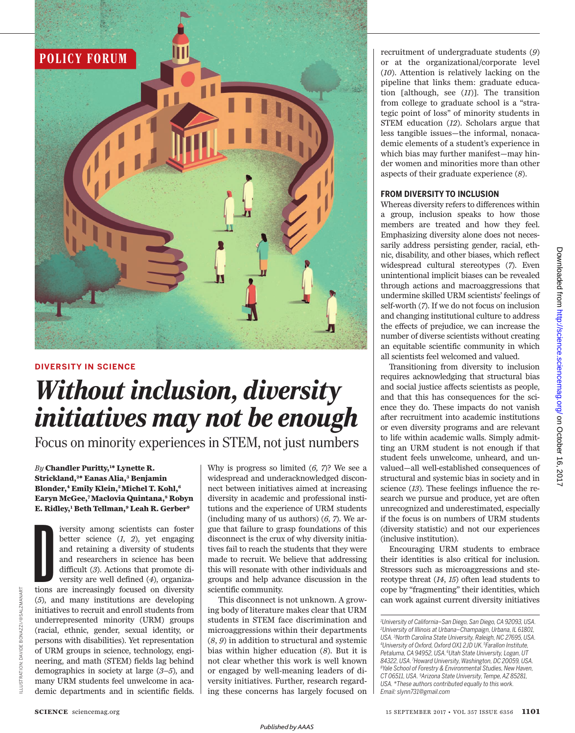

## **DIVERSITY IN SCIENCE**

# *Without inclusion, diversity initiatives may not be enough*

Focus on minority experiences in STEM, not just numbers

*By* **Chandler Puritty,<sup>1</sup> \* Lynette R. Strickland,<sup>2</sup> \* Eanas Alia,<sup>3</sup> Benjamin Blonder,<sup>4</sup> Emily Klein,5 Michel T. Kohl,<sup>6</sup> Earyn McGee,7 Maclovia Quintana,<sup>8</sup> Robyn E. Ridley,<sup>1</sup> Beth Tellman,<sup>9</sup> Leah R. Gerber<sup>9</sup>**

iversity among scientists can foster

iversity among scientists can foster<br>better science  $(I, 2)$ , yet engaging<br>and retaining a diversity of students<br>and researchers in science has been<br>difficult  $(3)$ . Actions that promote di-<br>versity are well defined  $(4)$ , better science (*1*, *2*), yet engaging and retaining a diversity of students and researchers in science has been difficult (*3*). Actions that promote diversity are well defined (*4*), organiza-(*5*), and many institutions are developing initiatives to recruit and enroll students from underrepresented minority (URM) groups (racial, ethnic, gender, sexual identity, or persons with disabilities). Yet representation of URM groups in science, technology, engineering, and math (STEM) fields lag behind demographics in society at large (*3–5*), and many URM students feel unwelcome in academic departments and in scientific fields.

Why is progress so limited (*6, 7*)? We see a widespread and underacknowledged disconnect between initiatives aimed at increasing diversity in academic and professional institutions and the experience of URM students (including many of us authors) (*6*, *7*). We argue that failure to grasp foundations of this disconnect is the crux of why diversity initiatives fail to reach the students that they were made to recruit. We believe that addressing this will resonate with other individuals and groups and help advance discussion in the scientific community.

 This disconnect is not unknown. A growing body of literature makes clear that URM students in STEM face discrimination and microaggressions within their departments (*8*, *9*) in addition to structural and systemic bias within higher education (*8*). But it is not clear whether this work is well known or engaged by well-meaning leaders of diversity initiatives. Further, research regarding these concerns has largely focused on

recruitment of undergraduate students (*9*) or at the organizational/corporate level (*10*). Attention is relatively lacking on the pipeline that links them: graduate education [although, see (*11*)]. The transition from college to graduate school is a "strategic point of loss" of minority students in STEM education (*12*). Scholars argue that less tangible issues—the informal, nonacademic elements of a student's experience in which bias may further manifest—may hinder women and minorities more than other aspects of their graduate experience (*8*).

### **FROM DIVERSITY TO INCLUSION**

Whereas diversity refers to differences within a group, inclusion speaks to how those members are treated and how they feel. Emphasizing diversity alone does not necessarily address persisting gender, racial, ethnic, disability, and other biases, which reflect widespread cultural stereotypes (*7*). Even unintentional implicit biases can be revealed through actions and macroaggressions that undermine skilled URM scientists' feelings of self-worth (*7*). If we do not focus on inclusion and changing institutional culture to address the effects of prejudice, we can increase the number of diverse scientists without creating an equitable scientific community in which all scientists feel welcomed and valued.

Transitioning from diversity to inclusion requires acknowledging that structural bias and social justice affects scientists as people, and that this has consequences for the science they do. These impacts do not vanish after recruitment into academic institutions or even diversity programs and are relevant to life within academic walls. Simply admitting an URM student is not enough if that student feels unwelcome, unheard, and unvalued—all well-established consequences of structural and systemic bias in society and in science (*13*). These feelings influence the research we pursue and produce, yet are often unrecognized and underestimated, especially if the focus is on numbers of URM students (diversity statistic) and not our experiences (inclusive institution).

Encouraging URM students to embrace their identities is also critical for inclusion. Stressors such as microaggressions and stereotype threat (*14*, *15*) often lead students to cope by "fragmenting" their identities, which can work against current diversity initiatives

*<sup>1</sup>University of California–San Diego, San Diego, CA 92093, USA. <sup>2</sup>University of Illinois at Urbana–Champaign, Urbana, IL 61801, USA. <sup>3</sup>North Carolina State University, Raleigh, NC 27695, USA. <sup>4</sup>University of Oxford, Oxford OX1 2JD UK.<sup>5</sup>Farallon Institute, Petaluma, CA 94952, USA.<sup>6</sup>Utah State University, Logan, UT 84322, USA.<sup>7</sup>Howard University, Washington, DC 20059, USA. <sup>8</sup>Yale School of Forestry & Environmental Studies, New Haven, CT 06511, USA.<sup>9</sup>Arizona State University, Tempe, AZ 85281, USA. \*These authors contributed equally to this work. Email: slynn731@gmail.com*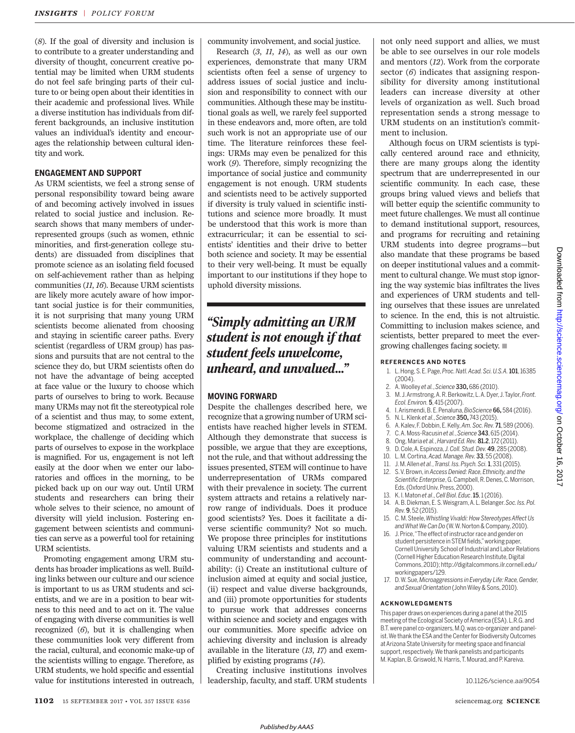(*8*). If the goal of diversity and inclusion is to contribute to a greater understanding and diversity of thought, concurrent creative potential may be limited when URM students do not feel safe bringing parts of their culture to or being open about their identities in their academic and professional lives. While a diverse institution has individuals from different backgrounds, an inclusive institution values an individual's identity and encourages the relationship between cultural identity and work.

### **ENGAGEMENT AND SUPPORT**

As URM scientists, we feel a strong sense of personal responsibility toward being aware of and becoming actively involved in issues related to social justice and inclusion. Research shows that many members of underrepresented groups (such as women, ethnic minorities, and first-generation college students) are dissuaded from disciplines that promote science as an isolating field focused on self-achievement rather than as helping communities (*11*, *16*). Because URM scientists are likely more acutely aware of how important social justice is for their communities, it is not surprising that many young URM scientists become alienated from choosing and staying in scientific career paths. Every scientist (regardless of URM group) has passions and pursuits that are not central to the science they do, but URM scientists often do not have the advantage of being accepted at face value or the luxury to choose which parts of ourselves to bring to work. Because many URMs may not fit the stereotypical role of a scientist and thus may, to some extent, become stigmatized and ostracized in the workplace, the challenge of deciding which parts of ourselves to expose in the workplace is magnified. For us, engagement is not left easily at the door when we enter our laboratories and offices in the morning, to be picked back up on our way out. Until URM students and researchers can bring their whole selves to their science, no amount of diversity will yield inclusion. Fostering engagement between scientists and communities can serve as a powerful tool for retaining URM scientists.

Promoting engagement among URM students has broader implications as well. Building links between our culture and our science is important to us as URM students and scientists, and we are in a position to bear witness to this need and to act on it. The value of engaging with diverse communities is well recognized (*6*), but it is challenging when these communities look very different from the racial, cultural, and economic make-up of the scientists willing to engage. Therefore, as URM students, we hold specific and essential value for institutions interested in outreach, community involvement, and social justice.

Research (*3*, *11*, *14*), as well as our own experiences, demonstrate that many URM scientists often feel a sense of urgency to address issues of social justice and inclusion and responsibility to connect with our communities. Although these may be institutional goals as well, we rarely feel supported in these endeavors and, more often, are told such work is not an appropriate use of our time. The literature reinforces these feelings: URMs may even be penalized for this work (*9*). Therefore, simply recognizing the importance of social justice and community engagement is not enough. URM students and scientists need to be actively supported if diversity is truly valued in scientific institutions and science more broadly. It must be understood that this work is more than extracurricular; it can be essential to scientists' identities and their drive to better both science and society. It may be essential to their very well-being. It must be equally important to our institutions if they hope to uphold diversity missions.

# *"Simply admitting an URM student is not enough if that student feels unwelcome, unheard, and unvalued..."*

### **MOVING FORWARD**

Despite the challenges described here, we recognize that a growing number of URM scientists have reached higher levels in STEM. Although they demonstrate that success is possible, we argue that they are exceptions, not the rule, and that without addressing the issues presented, STEM will continue to have underrepresentation of URMs compared with their prevalence in society. The current system attracts and retains a relatively narrow range of individuals. Does it produce good scientists? Yes. Does it facilitate a diverse scientific community? Not so much. We propose three principles for institutions valuing URM scientists and students and a community of understanding and accountability: (i) Create an institutional culture of inclusion aimed at equity and social justice, (ii) respect and value diverse backgrounds, and (iii) promote opportunities for students to pursue work that addresses concerns within science and society and engages with our communities. More specific advice on achieving diversity and inclusion is already available in the literature (*13*, *17*) and exemplified by existing programs (*14*).

Creating inclusive institutions involves leadership, faculty, and staff. URM students not only need support and allies, we must be able to see ourselves in our role models and mentors (*12*). Work from the corporate sector (*6*) indicates that assigning responsibility for diversity among institutional leaders can increase diversity at other levels of organization as well. Such broad representation sends a strong message to URM students on an institution's commitment to inclusion.

Although focus on URM scientists is typically centered around race and ethnicity, there are many groups along the identity spectrum that are underrepresented in our scientific community. In each case, these groups bring valued views and beliefs that will better equip the scientific community to meet future challenges. We must all continue to demand institutional support, resources, and programs for recruiting and retaining URM students into degree programs—but also mandate that these programs be based on deeper institutional values and a commitment to cultural change. We must stop ignoring the way systemic bias infiltrates the lives and experiences of URM students and telling ourselves that these issues are unrelated to science. In the end, this is not altruistic. Committing to inclusion makes science, and scientists, better prepared to meet the evergrowing challenges facing society.  $\blacksquare$ 

### **REFERENCES AND NOTES**

- 1. L. Hong, S. E.Page, *Proc. Natl.Acad. Sci.U.S.A.*101, 16385 (2004).
- 2. A. Woolley *et al.*, *Science* 330**,** 686 (2010).
- 3. M. J. Armstrong, A. R.Berkowitz,L. A.Dyer, J. Taylor, *Front. Ecol. Environ.* 5, 415 (2007).
- 4. I.Arismendi, B.E. Penaluna,*BioScience* 66**,** 584 (2016).
- 5. N. L. Klenk *et al*., *Science* 350**,** 743 (2015).
- 6. A. Kalev, F. Dobbin, E. Kelly,*Am. Soc. Rev.* 71, 589 (2006).
- 7. C. A.Moss-Racusin *et al.*, *Science* 343, 615 (2014).
- 8. Ong,Maria *et al.*, *Harvard Ed.Rev.* 81.2, 172 (2011).
- 9. D. Cole, A. Espinoza, *J. Coll. Stud. Dev.* 49, 285 (2008).
- 10. L. M.Cortina, *Acad. Manage.Rev.* 33, 55 (2008).
- 11. J.M. Allen *et al.*,*Transl. Iss. Psych. Sci.*1, 331(2015).
- 12. S. V. Brown, in *Access Denied: Race, Ethnicity,and the Scientific Enterprise*, G. Campbell,R. Denes,C. Morrison, Eds. (Oxford Univ. Press, 2000).
- 13. K. I.Maton *et al*., *Cell Biol. Educ*. 15, 1(2016).
- 14. A. B.Diekman, E. S. Weisgram, A. L. Belanger.*Soc. Iss. Pol. Rev.* 9, 52 (2015).
- 15. C. M. Steele,*Whistling Vivaldi: How StereotypesAffectUs and What We Can Do* (W.W. Norton & Company, 2010).
- 16. J. Price,"The effect of instructor race and gender on student persistence in STEM fields,"working paper, Cornell University School of Industrial and Labor Relations (Cornell Higher Education Research Institute, Digital Commons, 2010); http://digitalcommons.ilr.cornell.edu/ workingpapers/129.
- 17. D. W. Sue, *Microaggressions in Everyday Life: Race, Gender, and Sexual Orientation* (John Wiley & Sons,2010).

#### **ACKNOWLEDGMENTS**

This paper draws on experiences during a panel at the 2015 meeting of the Ecological Society of America (ESA). L.R.G. and B.T.were panel co-organizers, M.Q.was co-organizer and panelist. We thank the ESA and the Center for Biodiversity Outcomes at Arizona State University for meeting space and financial support, respectively.We thank panelists and participants M. Kaplan, B. Griswold, N. Harris, T. Mourad, and P. Kareiva.

10.1126/science.aai9054

**1102** 15 SEPTEMBER 2017 • VOL 357 ISSUE 6356